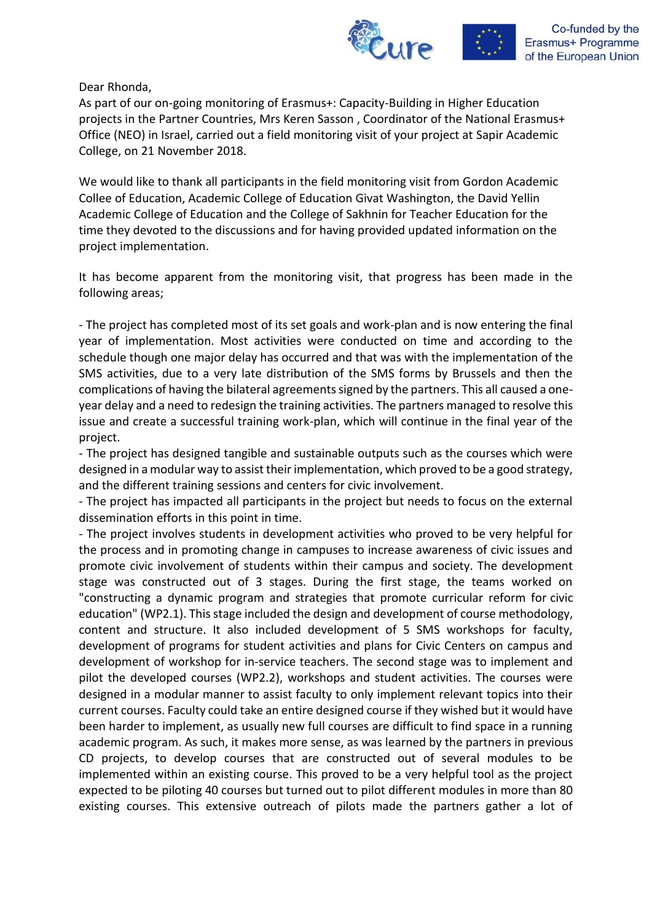

Dear Rhonda,

As part of our on-going monitoring of Erasmus+: Capacity-Building in Higher Education projects in the Partner Countries, Mrs Keren Sasson , Coordinator of the National Erasmus+ Office (NEO) in Israel, carried out a field monitoring visit of your project at Sapir Academic College, on 21 November 2018.

We would like to thank all participants in the field monitoring visit from Gordon Academic Collee of Education, Academic College of Education Givat Washington, the David Yellin Academic College of Education and the College of Sakhnin for Teacher Education for the time they devoted to the discussions and for having provided updated information on the project implementation.

It has become apparent from the monitoring visit, that progress has been made in the following areas;

- The project has completed most of its set goals and work-plan and is now entering the final year of implementation. Most activities were conducted on time and according to the schedule though one major delay has occurred and that was with the implementation of the SMS activities, due to a very late distribution of the SMS forms by Brussels and then the complications of having the bilateral agreements signed by the partners. This all caused a oneyear delay and a need to redesign the training activities. The partners managed to resolve this issue and create a successful training work-plan, which will continue in the final year of the project.

- The project has designed tangible and sustainable outputs such as the courses which were designed in a modular way to assist their implementation, which proved to be a good strategy, and the different training sessions and centers for civic involvement.

- The project has impacted all participants in the project but needs to focus on the external dissemination efforts in this point in time.

- The project involves students in development activities who proved to be very helpful for the process and in promoting change in campuses to increase awareness of civic issues and promote civic involvement of students within their campus and society. The development stage was constructed out of 3 stages. During the first stage, the teams worked on "constructing a dynamic program and strategies that promote curricular reform for civic education" (WP2.1). This stage included the design and development of course methodology, content and structure. It also included development of 5 SMS workshops for faculty, development of programs for student activities and plans for Civic Centers on campus and development of workshop for in-service teachers. The second stage was to implement and pilot the developed courses (WP2.2), workshops and student activities. The courses were designed in a modular manner to assist faculty to only implement relevant topics into their current courses. Faculty could take an entire designed course if they wished but it would have been harder to implement, as usually new full courses are difficult to find space in a running academic program. As such, it makes more sense, as was learned by the partners in previous CD projects, to develop courses that are constructed out of several modules to be implemented within an existing course. This proved to be a very helpful tool as the project expected to be piloting 40 courses but turned out to pilot different modules in more than 80 existing courses. This extensive outreach of pilots made the partners gather a lot of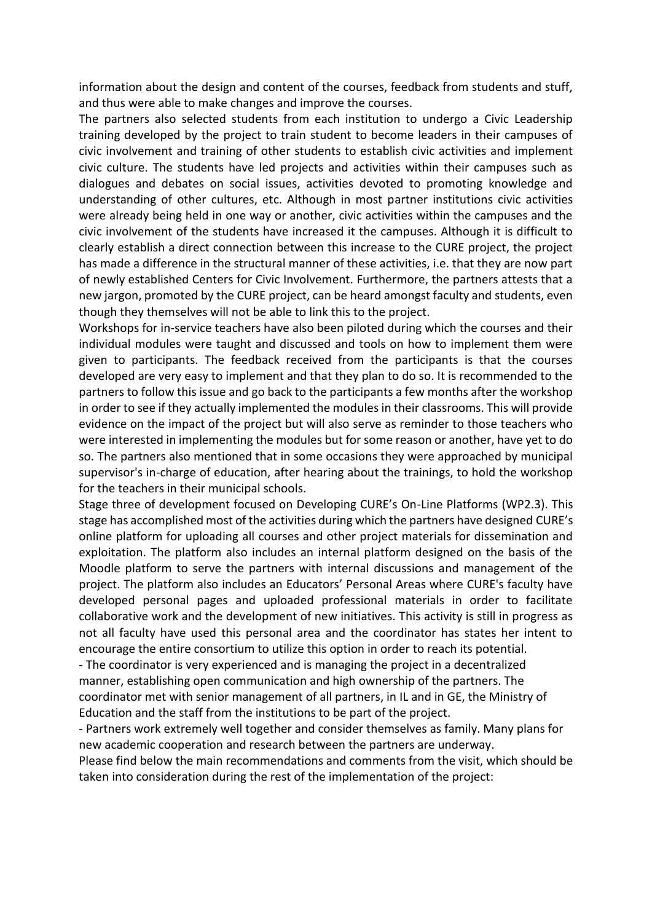information about the design and content of the courses, feedback from students and stuff, and thus were able to make changes and improve the courses.

The partners also selected students from each institution to undergo a Civic Leadership training developed by the project to train student to become leaders in their campuses of civic involvement and training of other students to establish civic activities and implement civic culture. The students have led projects and activities within their campuses such as dialogues and debates on social issues, activities devoted to promoting knowledge and understanding of other cultures, etc. Although in most partner institutions civic activities were already being held in one way or another, civic activities within the campuses and the civic involvement of the students have increased it the campuses. Although it is difficult to clearly establish a direct connection between this increase to the CURE project, the project has made a difference in the structural manner of these activities, i.e. that they are now part of newly established Centers for Civic Involvement. Furthermore, the partners attests that a new jargon, promoted by the CURE project, can be heard amongst faculty and students, even though they themselves will not be able to link this to the project.

Workshops for in-service teachers have also been piloted during which the courses and their individual modules were taught and discussed and tools on how to implement them were given to participants. The feedback received from the participants is that the courses developed are very easy to implement and that they plan to do so. It is recommended to the partners to follow this issue and go back to the participants a few months after the workshop in order to see if they actually implemented the modules in their classrooms. This will provide evidence on the impact of the project but will also serve as reminder to those teachers who were interested in implementing the modules but for some reason or another, have yet to do so. The partners also mentioned that in some occasions they were approached by municipal supervisor's in-charge of education, after hearing about the trainings, to hold the workshop for the teachers in their municipal schools.

Stage three of development focused on Developing CURE's On-Line Platforms (WP2.3). This stage has accomplished most of the activities during which the partners have designed CURE's online platform for uploading all courses and other project materials for dissemination and exploitation. The platform also includes an internal platform designed on the basis of the Moodle platform to serve the partners with internal discussions and management of the project. The platform also includes an Educators' Personal Areas where CURE's faculty have developed personal pages and uploaded professional materials in order to facilitate collaborative work and the development of new initiatives. This activity is still in progress as not all faculty have used this personal area and the coordinator has states her intent to encourage the entire consortium to utilize this option in order to reach its potential.

- The coordinator is very experienced and is managing the project in a decentralized manner, establishing open communication and high ownership of the partners. The coordinator met with senior management of all partners, in IL and in GE, the Ministry of Education and the staff from the institutions to be part of the project.

- Partners work extremely well together and consider themselves as family. Many plans for new academic cooperation and research between the partners are underway.

Please find below the main recommendations and comments from the visit, which should be taken into consideration during the rest of the implementation of the project: